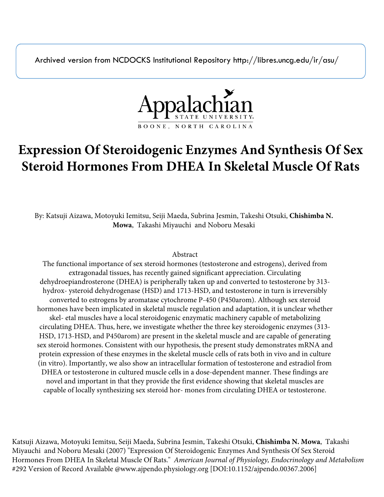Archived version from NCDOCKS Institutional Repository http://libres.uncg.edu/ir/asu/



# **Expression Of Steroidogenic Enzymes And Synthesis Of Sex Steroid Hormones From DHEA In Skeletal Muscle Of Rats**

By: Katsuji Aizawa, Motoyuki Iemitsu, Seiji Maeda, Subrina Jesmin, Takeshi Otsuki, **Chishimba N. Mowa**, Takashi Miyauchi and Noboru Mesaki

## Abstract

The functional importance of sex steroid hormones (testosterone and estrogens), derived from extragonadal tissues, has recently gained significant appreciation. Circulating dehydroepiandrosterone (DHEA) is peripherally taken up and converted to testosterone by 313 hydrox- ysteroid dehydrogenase (HSD) and 1713-HSD, and testosterone in turn is irreversibly converted to estrogens by aromatase cytochrome P-450 (P450arom). Although sex steroid hormones have been implicated in skeletal muscle regulation and adaptation, it is unclear whether skel- etal muscles have a local steroidogenic enzymatic machinery capable of metabolizing circulating DHEA. Thus, here, we investigate whether the three key steroidogenic enzymes (313- HSD, 1713-HSD, and P450arom) are present in the skeletal muscle and are capable of generating sex steroid hormones. Consistent with our hypothesis, the present study demonstrates mRNA and protein expression of these enzymes in the skeletal muscle cells of rats both in vivo and in culture (in vitro). Importantly, we also show an intracellular formation of testosterone and estradiol from DHEA or testosterone in cultured muscle cells in a dose-dependent manner. These findings are novel and important in that they provide the first evidence showing that skeletal muscles are capable of locally synthesizing sex steroid hor- mones from circulating DHEA or testosterone.

Katsuji Aizawa, Motoyuki Iemitsu, Seiji Maeda, Subrina Jesmin, Takeshi Otsuki, **Chishimba N. Mowa**, Takashi Miyauchi and Noboru Mesaki (2007) "Expression Of Steroidogenic Enzymes And Synthesis Of Sex Steroid Hormones From DHEA In Skeletal Muscle Of Rats." *American Journal of Physiology, Endocrinology and Metabolism* #292 Version of Record Available @www.ajpendo.physiology.org [DOI:10.1152/ajpendo.00367.2006]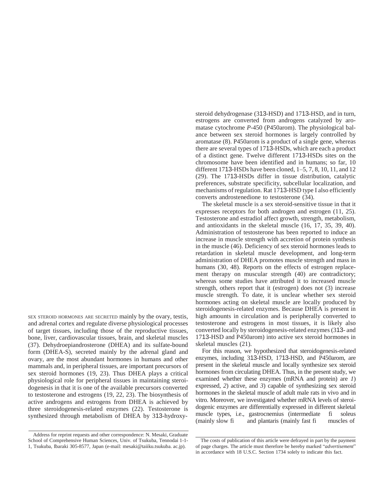SEX STEROID HORMONES ARE SECRETED mainly by the ovary, testis, and adrenal cortex and regulate diverse physiological processes of target tissues, including those of the reproductive tissues, bone, liver, cardiovascular tissues, brain, and skeletal muscles (37). Dehydroepiandrosterone (DHEA) and its sulfate-bound form (DHEA-S), secreted mainly by the adrenal gland and ovary, are the most abundant hormones in humans and other mammals and, in peripheral tissues, are important precursors of sex steroid hormones (19, 23). Thus DHEA plays a critical physiological role for peripheral tissues in maintaining steroidogenesis in that it is one of the available precursors converted to testosterone and estrogens (19, 22, 23). The biosynthesis of active androgens and estrogens from DHEA is achieved by three steroidogenesis-related enzymes (22). Testosterone is synthesized through metabolism of DHEA by 313-hydroxy-

Address for reprint requests and other correspondence: N. Mesaki, Graduate School of Comprehensive Human Sciences, Univ. of Tsukuba, Tennodai 1-1-

1, Tsukuba, Ibaraki 305-8577, Japan (e-mail[: mesaki@taiiku.tsukuba. a](mailto:mesaki@taiiku.tsukuba)c.jp).

steroid dehydrogenase (313-HSD) and 1713-HSD, and in turn, estrogens are converted from androgens catalyzed by aromatase cytochrome *P*-450 (P450arom). The physiological balance between sex steroid hormones is largely controlled by aromatase (8). P450arom is a product of a single gene, whereas there are several types of 1713-HSDs, which are each a product of a distinct gene. Twelve different 1713-HSDs sites on the chromosome have been identified and in humans; so far, 10 different 1713-HSDs have been cloned, 1–5, 7, 8, 10, 11, and 12 (29). The 1713-HSDs differ in tissue distribution, catalytic preferences, substrate specificity, subcellular localization, and mechanisms of regulation. Rat 1713-HSD type I also efficiently converts androstenedione to testosterone (34).

The skeletal muscle is a sex steroid-sensitive tissue in that it expresses receptors for both androgen and estrogen (11, 25). Testosterone and estradiol affect growth, strength, metabolism, and antioxidants in the skeletal muscle (16, 17, 35, 39, 40). Administration of testosterone has been reported to induce an increase in muscle strength with accretion of protein synthesis in the muscle (46). Deficiency of sex steroid hormones leads to retardation in skeletal muscle development, and long-term administration of DHEA promotes muscle strength and mass in humans (30, 48). Reports on the effects of estrogen replacement therapy on muscular strength (40) are contradictory; whereas some studies have attributed it to increased muscle strength, others report that it (estrogen) does not (3) increase muscle strength. To date, it is unclear whether sex steroid hormones acting on skeletal muscle are locally produced by steroidogenesis-related enzymes. Because DHEA is present in high amounts in circulation and is peripherally converted to testosterone and estrogens in most tissues, it is likely also converted locally by steroidogenesis-related enzymes (313- and 1713-HSD and P450arom) into active sex steroid hormones in skeletal muscles (21).

For this reason, we hypothesized that steroidogenesis-related enzymes, including 313-HSD, 1713-HSD, and P450arom, are present in the skeletal muscle and locally synthesize sex steroid hormones from circulating DHEA. Thus, in the present study, we examined whether these enzymes (mRNA and protein) are *1*) expressed, *2*) active, and *3*) capable of synthesizing sex steroid hormones in the skeletal muscle of adult male rats in vivo and in vitro. Moreover, we investigated whether mRNA levels of steroidogenic enzymes are differentially expressed in different skeletal muscle types, i.e., gastrocnemius (intermediate fi soleus (mainly slow fi and plantaris (mainly fast fi muscles of

The costs of publication of this article were defrayed in part by the payment of page charges. The article must therefore be hereby marked "*advertisement*" in accordance with 18 U.S.C. Section 1734 solely to indicate this fact.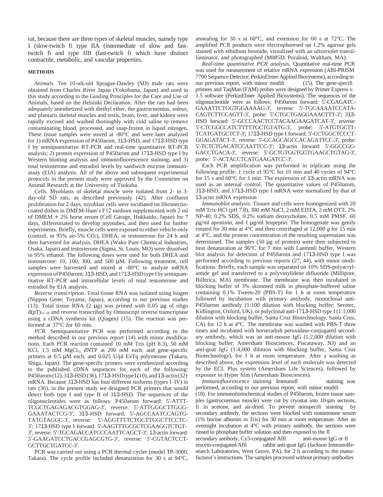rat, because there are three types of skeletal muscles, namely type I (slow-twitch fi type IIA (intermediate of slow and fasttwitch fi and type IIB (fast-twitch fi which have distinct contractile, metabolic, and vascular properties.

#### **METHODS**

*Animals.* Ten 10-wk-old Sprague-Dawley (SD) male rats were obtained from Charles River Japan (Yokohama, Japan) and used in this study according to the Guiding Principles for the Care and Use of Animals, based on the Helsinki Declaration. After the rats had been adequately anesthetized with diethyl ether, the gastrocnemius, soleus, and plantaris skeletal muscles and testis, brain, liver, and kidney were rapidly excised and washed thoroughly with cold saline to remove contaminating blood, processed, and snap-frozen in liquid nitrogen. These tissue samples were stored at -80°C and were later analyzed for *1*) mRNA expression of P450arom, 313-HSD, and 1713-HSD type I by semiquantitative RT-PCR and real-time quantitative RT-PCR analysis; *2*) protein expression of P450arom and 1713-HSD type I by Western blotting analysis and immunofluorescence staining; and *3*) total testosterone and estradiol levels by sandwich enzyme immunoassay (EIA) analysis. All of the above and subsequent experimental protocols in the present study were approved by the Committee on Animal Research at the University of Tsukuba.

*Cells.* Myoblasts of skeletal muscle were isolated from 2- to 3 day-old SD rats, as described previously (42). After confluent proliferation for 2 days, myoblast cells were incubated on fibronectincoated dishes in DMEM-Ham's F12 medium supplemented with 2 ml of DMEM + 2% horse serum (Cell Garage, Hokkaido, Japan) for 7 days, differentiated to develop myotubes, and then used for further experiments. Briefly, muscle cells were exposed to either vehicle-only (control, in 95% air-5% CO2), DHEA, or testosterone for 24 h and then harvested for analysis. DHEA (Wako Pure Chemical Industries, Osaka, Japan) and testosterone (Sigma, St. Louis, MO) were dissolved in 95% ethanol. The following doses were used for both DHEA and testosterone: 10, 100, 300, and 500 µM. Following treatment, cell samples were harvested and stored at -80°C to analyze mRNA expression of P450arom, 313-HSD, and 1713-HSD type I by semiquantitative RT-PCR and intracellular levels of total testosterone and estradiol by EIA analysis.

*Reverse transcription.* Total tissue RNA was isolated using Isogen (Nippon Gene; Toyama, Japan), according to our previous studies (13). Total tissue RNA (2  $\mu$ g) was primed with 0.05  $\mu$ g of oligo  $d(pT)_{12-18}$  and reverse transcribed by Omniscript reverse transcriptase using a cDNA synthesis kit (Qiagen) (15). The reaction was performed at 37°C for 60 min.

*PCR.* Semiquantitative PCR was performed according to the method described in our previous report (14) with minor modifications. Each PCR reaction contained 10 mM Tris (pH 8.3), 50 mM KCl, 1.5 mM MgCl<sub>2</sub>, dNTP at 200 mM each, and gene-specific primers at 0.5  $\mu$ M each, and 0.025 U/ $\mu$ l ExTq polymerase (Takara, Shiga, Japan). The gene-specific primers were synthesized according to the published cDNA sequences for each of the following: P450arom (12), 313-HSD (36), 1713-HSD type I (10), and 13-actin (32) mRNA. Because 313-HSD has four different isoforms (types I–IV) in rats (36), in the present study we designed PCR primers that would detect both type I and type II of 313-HSD. The sequences of the oligonucleotides were as follows: P450arom forward: 5'-ATTT-TCGCTGAGAGACGTGGAG-3', reverse: 5'-ATTGGGCTTGGG-GAAATACTCG-3'; 313-HSD forward: 5'-AGCCAATCCAGTG-TATGTAGGC-3', reverse: 5'-AGGTTTTCTGCTTGGCTTCCTC-3'; 1713-HSD type I forward: 5'-AAGTTTGCGCTCGAAGGTCTGT-3', reverse: 5'-TGCAGACCATCCCAATTCAGCT-3'; 13-actin forward: 5'-GAAGATCCTGACCGAGCGTG-3', reverse: 5'-CGTACTCCT-GCTTGCTGATCC-3'.

PCR was carried out using a PCR thermal cycler (model TP-3000, Takara). The cycle profile included denaturation for 30 s at 94°C, annealing for 30 s at 60°C, and extension for 60 s at 72°C. The amplified PCR products were electrophoresed on 1.2% agarose gels stained with ethidium bromide, visualized with an ultraviolet transilluminator, and photographed (M085D; Poraloid, Waltham, MA).

*Real-time quantitative PCR analysis.* Quantitative real-time PCR was used for measurement of relative mRNA expression (ABI-PRISM 7700 Sequence Detector; PerkinElmer Applied Biosystems), according to our previous report, with minor modifi (15). The gene-specifi primers and TaqMan (FAM) probes were designed by Primer Express v. 1.5 software (PerkinElmer Applied Biosystems). The sequences of the oligonucleotide were as follows: P450arom forward: 5'-CGAGATC-GAAATTCTGGTGGAAAAG-3', reverse: 5'-TGCAAAATCCATA-CAGTCTTCCAGTT-3', probe: 5'-CTGCTGAGGAAACTTT-3'; 313- HSD forward: 5'-GCCCAACTCCTACAAGAAGATCAT-3', reverse: 5'-CTCGGCCATCTTTTTGCTGTATG-3', probe: 5'-ATGTGCTT-TCATGATGCTCT-3'; 1713-HSD type I forward: 5'-CCTGGCTCCCT-GGAGATACT-3', reverse: 5'-GCAGCAGCCACAGATTCC-3', probe: 5'-TCTCTGACATCCAATTCC-3'; 13-actin forward: 5'-GGCCGG-GACCTGACA-3', reverse: 5'-GCTGTGGTGGTGAAGCTGTAG-3', probe: 5'-ACTACCTCATGAAGATCC-3'.

Each PCR amplification was performed in triplicate using the following profile: 1 cycle of 95°C for 10 min and 40 cycles of 94°C for 15 s and 60°C for 1 min. The expression of 13-actin mRNA was used as an internal control. The quantitative values of P450arom, 313-HSD, and 1713-HSD type I mRNA were normalized by that of 13-actin mRNA expression.

*Immunoblot analysis.* Tissues and cells were homogenized with 20 mM Tris· HCl (pH 7.8), 300 mM NaCl, 2 mM EDTA, 2 mM DTT, 2% NP-40, 0.2% SDS, 0.2% sodium deoxycholate, 0.5 mM PMSF, 60  $\mu$ g/ml aprotinin, and 1  $\mu$ g/ml leupeptin. The homogenate was gently rotated for 30 min at 4°C and then centrifuged at 12,000 *g* for 15 min at 4°C, and the protein concentration of the resulting supernatant was determined. The samples (50 µg of protein) were then subjected to heat denaturation at 96°C for 7 min with Laemmli buffer. Western blot analysis for detection of P450arom and 1713-HSD type I was performed according to previous reports (27, 44), with minor modifications. Briefly, each sample was separated on 10% SDS-polyacrylamide gel and transferred to a polyvinylidene difluoride (Millipore, Billerica, MA) membrane. The membrane was then incubated in blocking buffer of 3% skimmed milk in phosphate-buffered saline containing 0.1% Tween-20 (PBS-T) for 1 h at room temperature followed by incubation with primary antibody, monoclonal anti-P450arom antibody (1:100 dilution with blocking buffer; Serotec, Kidlington, Oxford, UK), or polyclonal anti-1713-HSD type I (1:1,000 dilution with blocking buffer, Santa Cruz Biotechnology, Santa Cruz, CA) for 12 h at 4°C. The membrane was washed with PBS-T three times and incubated with horseradish peroxidase-conjugated secondary antibody, which was an anti-mouse IgG (1:2,000 dilution with blocking buffer; Amersham Biosciences, Piscataway, NJ) and an anti-goat IgG (1:4,000 dilution with blocking buffer, Santa Cruz Biotechnology), for 1 h at room temperature. After a washing as described above, the expression level of each molecule was detected by the ECL Plus system (Amersham Life Sciences), followed by exposure to Hyper film (Amersham Biosciences).

*Immunofluorescence staining.* Immunofl staining was performed, according to our previous report, with minor modifi (18). For immunohistochemical studies of P450arom, frozen tissue samples (gastrocnemius muscle) were cut by cryostat into 10-µm sections, fi in acetone, and air-dried. To prevent nonspecifi staining by secondary antibody, the sections were blocked with nonimmune serum (1% bovine albumin in Tris) for 30 min at room temperature. After an overnight incubation at 4°C with primary antibody, the sections were rinsed in phosphate buffer solution and then exposed to the fl secondary antibody, Cy3-conjugated Affi anti-mouse IgG or fl rescein-conjugated Affi rabbit anti-goat IgG (Jackson ImmunoResearch Laboratories, West Grove, PA), for 2 h according to the manufacturer's instructions. The samples processed without primary antibodies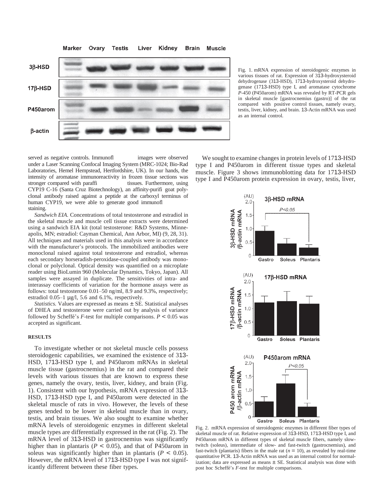**Marker** Ovary **Testis** Liver Kidney Brain **Muscle** 



Fig. 1. mRNA expression of steroidogenic enzymes in various tissues of rat. Expression of 313-hydroxysteroid dehydrogenase (313-HSD), 1713-hydroxysteroid dehydrogenase (1713-HSD) type I, and aromatase cytochrome *P*-450 (P450arom) mRNA was revealed by RT-PCR gels in skeletal muscle [gastrocnemius (gastro)] of the rat compared with positive control tissues, namely ovary, testis, liver, kidney, and brain. 13-Actin mRNA was used as an internal control.

served as negative controls. Immunofl images were observed under a Laser Scanning Confocal Imaging System (MRC-1024; Bio-Rad Laboratories, Hemel Hempstead, Hertfordshire, UK). In our hands, the intensity of aromatase immunoreactivity in frozen tissue sections was stronger compared with paraffi tissues. Furthermore, using CYP19 C-16 (Santa Cruz Biotechnology), an affinity-purifi goat polyclonal antibody raised against a peptide at the carboxyl terminus of human CYP19, we were able to generate good immunofl staining.

*Sandwich EIA.* Concentrations of total testosterone and estradiol in the skeletal muscle and muscle cell tissue extracts were determined using a sandwich EIA kit (total testosterone: R&D Systems, Minneapolis, MN; estradiol: Cayman Chemical, Ann Arbor, MI) (9, 28, 31). All techniques and materials used in this analysis were in accordance with the manufacturer's protocols. The immobilized antibodies were monoclonal raised against total testosterone and estradiol, whereas each secondary horseradish-peroxidase-coupled antibody was monoclonal or polyclonal. Optical density was quantified on a microplate reader using BioLumin 960 (Molecular Dynamics, Tokyo, Japan). All samples were assayed in duplicate. The sensitivities of intra- and interassay coefficients of variation for the hormone assays were as follows: total testosterone 0.01–50 ng/ml, 8.9 and 9.3%, respectively; estradiol  $0.05-1$  µg/l, 5.6 and 6.1%, respectively.

*Statistics.* Values are expressed as means ± SE. Statistical analyses of DHEA and testosterone were carried out by analysis of variance followed by Scheffe's  $F$ -test for multiple comparisons.  $P < 0.05$  was accepted as significant.

## **RESULTS**

To investigate whether or not skeletal muscle cells possess steroidogenic capabilities, we examined the existence of 313- HSD, 1713-HSD type I, and P450arom mRNAs in skeletal muscle tissue (gastrocnemius) in the rat and compared their levels with various tissues that are known to express these genes, namely the ovary, testis, liver, kidney, and brain (Fig. 1). Consistent with our hypothesis, mRNA expression of 313- HSD, 1713-HSD type I, and P450arom were detected in the skeletal muscle of rats in vivo. However, the levels of these genes tended to be lower in skeletal muscle than in ovary, testis, and brain tissues. We also sought to examine whether mRNA levels of steroidogenic enzymes in different skeletal muscle types are differentially expressed in the rat (Fig. 2). The mRNA level of 313-HSD in gastrocnemius was significantly higher than in plantaris ( $P < 0.05$ ), and that of P450arom in soleus was significantly higher than in plantaris ( $P < 0.05$ ). However, the mRNA level of 1713-HSD type I was not significantly different between these fiber types.

We sought to examine changes in protein levels of 1713-HSD type I and P450arom in different tissue types and skeletal muscle. Figure 3 shows immunoblotting data for 1713-HSD type I and P450arom protein expression in ovary, testis, liver,



Fig. 2. mRNA expression of steroidogenic enzymes in different fiber types of skeletal muscle of rat. Relative expression of 313-HSD, 1713-HSD type I, and P450arom mRNA in different types of skeletal muscle fibers, namely slowtwitch (soleus), intermediate of slow- and fast-twitch (gastrocnemius), and fast-twitch (plantaris) fibers in the male rat  $(n = 10)$ , as revealed by real-time quantitative PCR. 13-Actin mRNA was used as an internal control for normalization; data are expressed as means  $\pm$  SE. Statistical analysis was done with post hoc Scheffé's *F*-test for multiple comparisons.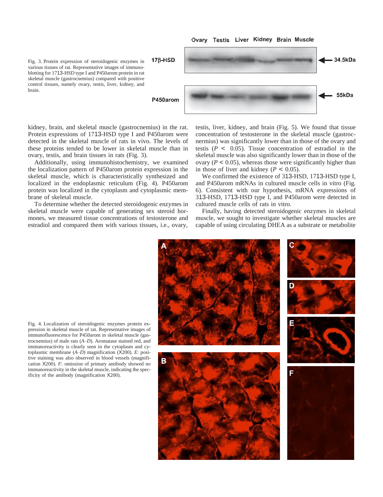Ovary Testis Liver Kidney Brain Muscle

Fig. 3. Protein expression of steroidogenic enzymes in various tissues of rat. Representative images of immunoblotting for 1713-HSD type I and P450arom protein in rat skeletal muscle (gastrocnemius) compared with positive control tissues, namely ovary, testis, liver, kidney, and brain.

 $17\beta$ -HSD





kidney, brain, and skeletal muscle (gastrocnemius) in the rat. Protein expressions of 1713-HSD type I and P450arom were detected in the skeletal muscle of rats in vivo. The levels of these proteins tended to be lower in skeletal muscle than in ovary, testis, and brain tissues in rats (Fig. 3).

Additionally, using immunohistochemistry, we examined the localization pattern of P450arom protein expression in the skeletal muscle, which is characteristically synthesized and localized in the endoplasmic reticulum (Fig. 4). P450arom protein was localized in the cytoplasm and cytoplasmic membrane of skeletal muscle.

To determine whether the detected steroidogenic enzymes in skeletal muscle were capable of generating sex steroid hormones, we measured tissue concentrations of testosterone and estradiol and compared them with various tissues, i.e.*,* ovary, testis, liver, kidney, and brain (Fig. 5). We found that tissue concentration of testosterone in the skeletal muscle (gastrocnermius) was significantly lower than in those of the ovary and testis  $(P < 0.05)$ . Tissue concentration of estradiol in the skeletal muscle was also significantly lower than in those of the ovary ( $P < 0.05$ ), whereas those were significantly higher than in those of liver and kidney ( $P < 0.05$ ).

We confirmed the existence of 313-HSD, 1713-HSD type I, and P450arom mRNAs in cultured muscle cells in vitro (Fig. 6). Consistent with our hypothesis, mRNA expressions of 313-HSD, 1713-HSD type I, and P450arom were detected in cultured muscle cells of rats in vitro.

Finally, having detected steroidogenic enzymes in skeletal muscle, we sought to investigate whether skeletal muscles are capable of using circulating DHEA as a substrate or metabolite



Fig. 4. Localization of steroidogenic enzymes protein expression in skeletal muscle of rat. Representative images of immunofluorescence for P450arom in skeletal muscle (gastrocnemius) of male rats (*A–D*). Aromatase stained red, and immunoreactivity is clearly seen in the cytoplasm and cytoplasmic membrane (*A–D*) magnification (X200). *E*: positive staining was also observed in blood vessels (magnification X200). *F*: omission of primary antibody showed no immunoreactivity in the skeletal muscle, indicating the specificity of the antibody (magnification X200).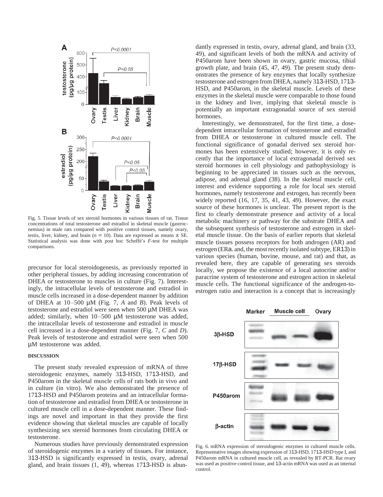

Fig. 5. Tissue levels of sex steroid hormones in various tissues of rat. Tissue concentrations of total testosterone and estradiol in skeletal muscle (gastrocnemius) in male rats compared with positive control tissues, namely ovary, testis, liver, kidney, and brain ( $n = 10$ ). Data are expressed as means  $\pm$  SE. Statistical analysis was done with post hoc Scheffe´'s *F*-test for multiple comparisons.

precursor for local steroidogenesis, as previously reported in other peripheral tissues, by adding increasing concentration of DHEA or testosterone to muscles in culture (Fig. 7). Interestingly, the intracellular levels of testosterone and estradiol in muscle cells increased in a dose-dependent manner by addition of DHEA at 10 –500 µM (Fig. 7, *A* and *B*). Peak levels of testosterone and estradiol were seen when 500 µM DHEA was added; similarly, when 10-500  $\mu$ M testosterone was added, the intracellular levels of testosterone and estradiol in muscle cell increased in a dose-dependent manner (Fig. 7, *C* and *D*). Peak levels of testosterone and estradiol were seen when 500 µM testosterone was added.

## **DISCUSSION**

The present study revealed expression of mRNA of three steroidogenic enzymes, namely 313-HSD, 1713-HSD, and P450arom in the skeletal muscle cells of rats both in vivo and in culture (in vitro). We also demonstrated the presence of 1713-HSD and P450arom proteins and an intracellular formation of testosterone and estradiol from DHEA or testosterone in cultured muscle cell in a dose-dependent manner. These findings are novel and important in that they provide the first evidence showing that skeletal muscles are capable of locally synthesizing sex steroid hormones from circulating DHEA or testosterone.

Numerous studies have previously demonstrated expression of steroidogenic enzymes in a variety of tissues. For instance, 313-HSD is significantly expressed in testis, ovary, adrenal gland, and brain tissues (1, 49), whereas 1713-HSD is abundantly expressed in testis, ovary, adrenal gland, and brain (33, 49), and significant levels of both the mRNA and activity of P450arom have been shown in ovary, gastric mucosa, tibial growth plate, and brain (45, 47, 49). The present study demonstrates the presence of key enzymes that locally synthesize testosterone and estrogen from DHEA, namely 313-HSD, 1713- HSD, and P450arom, in the skeletal muscle. Levels of these enzymes in the skeletal muscle were comparable to those found in the kidney and liver, implying that skeletal muscle is potentially an important extragonadal source of sex steroid hormones.

Interestingly, we demonstrated, for the first time, a dosedependent intracellular formation of testosterone and estradiol from DHEA or testosterone in cultured muscle cell. The functional significance of gonadal derived sex steroid hormones has been extensively studied; however, it is only recently that the importance of local extragonadal derived sex steroid hormones in cell physiology and pathophysiology is beginning to be appreciated in tissues such as the nervous, adipose, and adrenal gland (38). In the skeletal muscle cell, interest and evidence supporting a role for local sex steroid hormones, namely testosterone and estrogen, has recently been widely reported (16, 17, 35, 41, 43, 49). However, the exact source of these hormones is unclear. The present report is the first to clearly demonstrate presence and activity of a local metabolic machinery or pathway for the substrate DHEA and the subsequent synthesis of testosterone and estrogen in skeletal muscle tissue. On the basis of earlier reports that skeletal muscle tissues possess receptors for both androgen (AR) and estrogen (ERa. and, the most recently isolated subtype, ER13) in various species (human, bovine, mouse, and rat) and that, as revealed here, they are capable of generating sex steroids locally, we propose the existence of a local autocrine and/or paracrine system of testosterone and estrogen action in skeletal muscle cells. The functional significance of the androgen-toestrogen ratio and interaction is a concept that is increasingly



Fig. 6. mRNA expression of steroidogenic enzymes in cultured muscle cells. Representative images showing expression of 313-HSD, 1713-HSD type I, and P450arom mRNA in cultured muscle cell, as revealed by RT-PCR. Rat ovary was used as positive control tissue, and 13-actin mRNA was used as an internal control.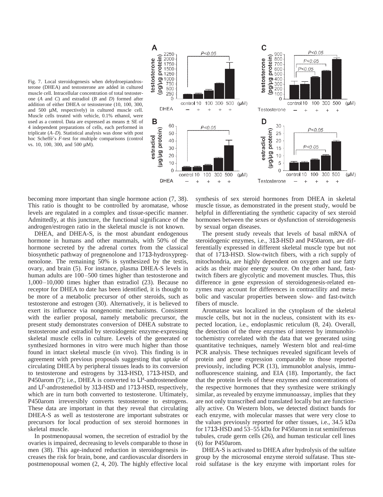



becoming more important than single hormone action (7, 38). This ratio is thought to be controlled by aromatase, whose levels are regulated in a complex and tissue-specific manner. Admittedly, at this juncture, the functional significance of the androgen/estrogen ratio in the skeletal muscle is not known.

DHEA, and DHEA-S, is the most abundant endogenous hormone in humans and other mammals, with 50% of the hormone secreted by the adrenal cortex from the classical biosynthetic pathway of pregnenolone and 1713-hydroxypregnenolone. The remaining 50% is synthesized by the testis, ovary, and brain (5). For instance, plasma DHEA-S levels in human adults are 100-500 times higher than testosterone and 1,000–10,000 times higher than estradiol (23). Because no receptor for DHEA to date has been identified, it is thought to be more of a metabolic precursor of other steroids, such as testosterone and estrogen (30). Alternatively, it is believed to exert its influence via nongenomic mechanisms. Consistent with the earlier proposal, namely metabolic precursor, the present study demonstrates conversion of DHEA substrate to testosterone and estradiol by steroidogenic enzyme-expressing skeletal muscle cells in culture. Levels of the generated or synthesized hormones in vitro were much higher than those found in intact skeletal muscle (in vivo). This finding is in agreement with previous proposals suggesting that uptake of circulating DHEA by peripheral tissues leads to its conversion to testosterone and estrogens by 313-HSD, 1713-HSD, and P450arom (7); i.e., DHEA is converted to L<sup>14</sup>-androstenedione and L<sup>[5</sup>-androstenediol by 313-HSD and 1713-HSD, respectively, which are in turn both converted to testosterone. Ultimately, P450arom irreversibly converts testosterone to estrogens. These data are important in that they reveal that circulating DHEA-S as well as testosterone are important substrates or precursors for local production of sex steroid hormones in skeletal muscle.

In postmenopausal women, the secretion of estradiol by the ovaries is impaired, decreasing to levels comparable to those in men (38). This age-induced reduction in steroidogenesis increases the risk for brain, bone, and cardiovascular disorders in postmenopousal women (2, 4, 20). The highly effective local synthesis of sex steroid hormones from DHEA in skeletal muscle tissue, as demonstrated in the present study, would be helpful in differentiating the synthetic capacity of sex steroid hormones between the sexes or dysfunction of steroidogenesis by sexual organ diseases.

The present study reveals that levels of basal mRNA of steroidogenic enzymes, i.e., 313-HSD and P450arom, are differentially expressed in different skeletal muscle type but not that of 1713-HSD. Slow-twitch fibers, with a rich supply of mitochondria, are highly dependent on oxygen and use fatty acids as their major energy source. On the other hand, fasttwitch fibers are glycolytic and movement muscles. Thus, this difference in gene expression of steroidogenesis-related enzymes may account for differences in contractility and metabolic and vascular properties between slow- and fast-twitch fibers of muscle.

Aromatase was localized in the cytoplasm of the skeletal muscle cells, but not in the nucleus, consistent with its expected location, i.e.*,* endoplasmic reticulum (8, 24). Overall, the detection of the three enzymes of interest by immunohistochemistry correlated with the data that we generated using quantitative techniques, namely Western blot and real-time PCR analysis. These techniques revealed significant levels of protein and gene expression comparable to those reported previously, including PCR (13), immunoblot analysis, immunofluorescence staining, and EIA (18). Importantly, the fact that the protein levels of these enzymes and concentrations of the respective hormones that they synthesize were strikingly similar, as revealed by enzyme immunoassay, implies that they are not only transcribed and translated locally but are functionally active. On Western blots, we detected distinct bands for each enzyme, with molecular masses that were very close to the values previously reported for other tissues, i.e.*,* 34.5 kDa for 1713-HSD and 53–55 kDa for P450arom in rat seminiferous tubules, crude germ cells (26), and human testicular cell lines (6) for P450arom.

DHEA-S is activated to DHEA after hydrolysis of the sulfate group by the microsomal enzyme steroid sulfatase. Thus steroid sulfatase is the key enzyme with important roles for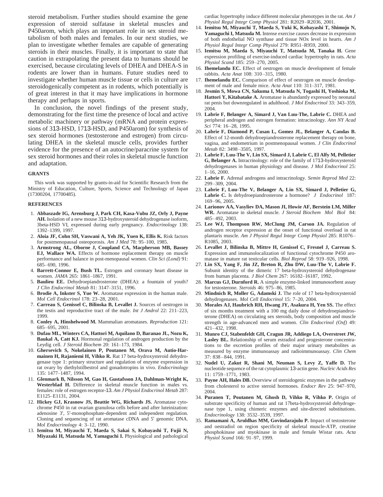steroid metabolism. Further studies should examine the gene expression of steroid sulfatase in skeletal muscles and P450arom, which plays an important role in sex steroid metabolism of both males and females. In our next studies, we plan to investigate whether females are capable of generating steroids in their muscles. Finally, it is important to state that caution in extrapolating the present data to humans should be exercised, because circulating levels of DHEA and DHEA-S in rodents are lower than in humans. Future studies need to investigate whether human muscle tissue or cells in culture are steroidogenically competent as in rodents, which potentially is of great interest in that it may have implications in hormone therapy and perhaps in sports.

In conclusion, the novel findings of the present study, demonstrating for the first time the presence of local and active metabolic machinery or pathway (mRNA and protein expressions of 313-HSD, 1713-HSD, and P450arom) for synthesis of sex steroid hormones (testosterone and estrogen) from circulating DHEA in the skeletal muscle cells, provides further evidence for the presence of an autocrine/paracrine system for sex steroid hormones and their roles in skeletal muscle function and adaptation.

#### **GRANTS**

This work was supported by grants-in-aid for Scientific Research from the Ministry of Education, Culture, Sports, Science and Technology of Japan (17300204, 17700485).

### **REFERENCES**

- 1. **Abbaszade IG, Arensburg J, Park CH, Kasa-Vubu JZ, Orly J, Payne AH.** Isolation of a new mouse 313-hydroxysteroid dehydrogenase isoform, 3beta-HSD VI, expressed during early pregnancy. *Endocrinology* 138: 1392–1399, 1997.
- 2. **Aloia JF, Cohn SH, Vaswani A, Yeh JK, Yuen K, Ellis K.** Risk factors for postmenopausal osteoporosis. *Am J Med* 78: 95–100, 1985.
- 3. **Armstrong AL, Oborne J, Coupland CA, Macpherson MB, Bassey EJ, Wallace WA.** Effects of hormone replacement therapy on muscle performance and balance in post-menopausal women. *Clin Sci (Lond)* 91: 685– 690, 1996.
- 4. **Barrett-Connor E, Bush TL.** Estrogen and coronary heart disease in women. *JAMA* 265: 1861–1867, 1991.
- 5. **Baulieu EE.** Dehydroepiandrosterone (DHEA): a fountain of youth? *J Clin Endocrinol Metab* 81: 3147–3151, 1996.
- 6. **Brodie A, Inkster S, Yue W.** Aromatase expression in the human male. *Mol Cell Endocrinol* 178: 23–28, 2001.
- 7. **Carreau S, Genissel C, Bilinska B, Levallet J.** Sources of oestrogen in the testis and reproductive tract of the male. *Int J Androl* 22: 211–223, 1999.
- 8. **Conley A, Hinshelwood M.** Mammalian aromatases. *Reproduction* 121: 685– 695, 2001.
- 9. **Dufau ML, Winters CA, Hattori M, Aquilano D, Baranao JL, Nozu K, Baukal A, Catt KJ.** Hormonal regulation of androgen production by the Leydig cell. *J Steroid Biochem* 20: 161–173, 1984.
- 10. **Ghersevich S, Nokelainen P, Poutanen M, Orava M, Autio-Harmainen H, Rajaniemi H, Vihko R.** Rat 17 beta-hydroxysteroid dehydrogenase type 1: primary structure and regulation of enzyme expression in rat ovary by diethylstilbestrol and gonadotropins in vivo. *Endocrinology*  135: 1477–1487, 1994.
- 11. **Glenmark B, Nilsson M, Gao H, Gustafsson JA, Dahlman-Wright K, Westerblad H.** Difference in skeletal muscle function in males vs. females: role of estrogen receptor-13. *Am J Physiol Endocrinol Metab* 287: E1125–E1131, 2004.
- 12. **Hickey GJ, Krasnow JS, Beattie WG, Richards JS.** Aromatase cytochrome P450 in rat ovarian granulosa cells before and after luteinization: adenosine 3', 5'-monophosphate-dependent and independent regulation. Cloning and sequencing of rat aromatase cDNA and 5' genomic DNA. *Mol Endocrinology* 4: 3–12, 1990.
- 13. **Iemitsu M, Miyauchi T, Maeda S, Sakai S, Kobayashi T, Fujii N, Miyazaki H, Matsuda M, Yamaguchi I.** Physiological and pathological

cardiac hypertrophy induce different molecular phenotypes in the rat. *Am J Physiol Regul Integr Comp Physiol* 281: R2029–R2036, 2001.

- 14. **Iemitsu M, Miyauchi T, Maeda S, Yuki K, Kobayashi T, Shimojo N, Yamaguchi I, Matsuda M.** Intense exercise causes decrease in expression of both endothelial NO synthase and tissue NOx level in hearts. *Am J Physiol Regul Integr Comp Physiol* 279: R951–R959, 2000.
- 15. **Iemitsu M, Maeda S, Miyauchi T, Matsuda M, Tanaka H.** Gene expression profiling of exercise-induced cardiac hypertrophy in rats. *Acta Physiol Scand* 185: 259–270, 2005.
- 16. **Ihemelandu EC.** Effect of oestrogen on muscle development of female rabbits. *Acta Anat* 108: 310–315, 1980.
- 17. **Ihemelandu EC.** Comparison of effect of oestrogen on muscle development of male and female mice. *Acta Anat* 110: 311–317, 1981.
- 18. **Jesmin S, Mowa CN, Sakuma I, Matsuda N, Togashi H, Yoshioka M, Hattori Y, Kitabatake A.** Aromatase is abundantly expressed by neonatal rat penis but downregulated in adulthood. *J Mol Endocrinol* 33: 343–359, 2004.
- 19. **Labrie F, Belanger A, Simard J, Van Luu-The, Labrie C.** DHEA and peripheral androgen and estrogen formation: intracinology. *Ann NY Acad Sci* 774: 16–28, 1995.
- 20. **Labrie F, Diamond P, Cusan L, Gomez JL, Belanger A, Candas B.**  Effect of 12-month dehydroepiandrosterone replacement therapy on bone, vagina, and endometrium in postmenopausal women. *J Clin Endocrinol Metab* 82: 3498–3505, 1997.
- 21. **Labrie F, Luu-The V, Lin SX, Simard J, Labrie C, El Alfy M, Pelletier G, Belanger A.** Intracrinology: role of the family of 1713-hydroxysteroid dehydrogenases in human physiology and disease. *J Mol Endocrinol* 25: 1–16, 2000.
- 22. **Labrie F.** Adrenal androgens and intracrinology. *Semin Reprod Med* 22: 299–309, 2004.
- 23. **Labrie F, Luu-The V, Belanger A, Lin SX, Simard J, Pelletier G, Labrie C.** Is dehydroepiandrosterone a hormone? *J Endocrinol* 187: 169–96, 2005.
- 24. **Larionov AA, Vasyliev DA, Mason JI, Howie AF, Berstein LM, Miller WR.** Aromatase in skeletal muscle. *J Steroid Biochem Mol Biol* 84: 485– 492, 2003.
- 25. **Lee WJ, Thompson RW, McClung JM, Carson JA.** Regulation of androgen receptor expression at the onset of functional overload in rat plantaris muscle. *Am J Physiol Regul Integr Comp Physiol* 285: R1076– R1085, 2003.
- 26. **Levallet J, Bilinska B, Mittre H, Genissel C, Fresnel J, Carreau S.**  Expression and immunolocalization of functional cytochrome P450 aromatase in mature rat testicular cells. *Biol Reprod* 58: 919–926, 1998.
- 27. **Lin SX, Yang F, Jin JZ, Breton R, Zhu DW, Luu-The V, Labrie F.**  Subunit identity of the dimeric 17 beta-hydroxysteroid dehydrogenase from human placenta. *J Biol Chem* 267: 16182–16187, 1992.
- 28. **Marcus GJ, Durnford R.** A simple enzyme-linked immunosorbent assay for testosterone. *Steroids* 46: 975– 86, 1985.
- 29. **Mindnich R, Moller G, Adamski J.** The role of 17 beta-hydroxysteroid dehydrogenases. *Mol Cell Endocrinol* 15: 7–20, 2004.
- 30. **Morales AJ, Haubrich RH, Hwang JY, Asakura H, Yen SS.** The effect of six months treatment with a 100 mg daily dose of dehydroepiandrosterone (DHEA) on circulating sex steroids, body composition and muscle strength in age-advanced men and women. *Clin Endocrinol (Oxf)* 49: 421– 432, 1998.
- 31. **Munro CJ, Stabenfeldt GH, Cragun JR, Addiego LA, Overstreet JW, Lasley BL.** Relationship of serum estradiol and progesterone concentrations to the excretion profiles of their major urinary metabolites as measured by enzyme immunoassay and radioimmunoassay. *Clin Chem*  37: 838 –844, 1991.
- 32. **Nudel U, Zakut R, Shani M, Neuman S, Levy Z, Yaffe D.** The nucleotide sequence of the rat cytoplasmic 13-actin gene. *Nucleic Acids Res*  11: 1759–1771, 1983.
- 33. **Payne AH, Hales DB.** Overview of steroidogenic enzymes in the pathway from cholesterol to active steroid hormones. *Endocr Rev* 25: 947–970, 2004.
- 34. **Puranen T, Poutanen M, Ghosh D, Vihko R, Vihko P.** Origin of substrate specificity of human and rat 17beta-hydroxysteroid dehydrogenase type 1, using chimeric enzymes and site-directed substitutions. *Endocrinology* 138: 3532–3539, 1997.
- 35. **Ramamani A, Aruldhas MM, Govindarajulu P.** Impact of testosterone and oestradiol on region specificity of skeletal muscle-ATP, creatine phosphokinase and myokinase in male and female Wistar rats. *Acta Physiol Scand* 166: 91–97, 1999.